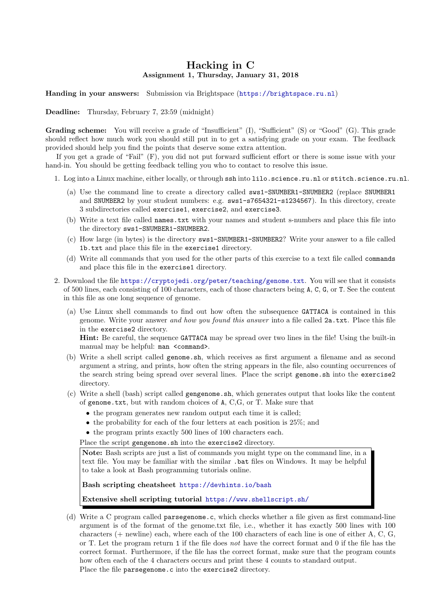## Hacking in C Assignment 1, Thursday, January 31, 2018

Handing in your answers: Submission via Brightspace (<https://brightspace.ru.nl>)

Deadline: Thursday, February 7, 23:59 (midnight)

Grading scheme: You will receive a grade of "Insufficient" (I), "Sufficient" (S) or "Good" (G). This grade should reflect how much work you should still put in to get a satisfying grade on your exam. The feedback provided should help you find the points that deserve some extra attention.

If you get a grade of "Fail" (F), you did not put forward sufficient effort or there is some issue with your hand-in. You should be getting feedback telling you who to contact to resolve this issue.

- 1. Log into a Linux machine, either locally, or through ssh into lilo.science.ru.nl or stitch.science.ru.nl.
	- (a) Use the command line to create a directory called sws1-SNUMBER1-SNUMBER2 (replace SNUMBER1 and SNUMBER2 by your student numbers: e.g. sws1-s7654321-s1234567). In this directory, create 3 subdirectories called exercise1, exercise2, and exercise3.
	- (b) Write a text file called names.txt with your names and student s-numbers and place this file into the directory sws1-SNUMBER1-SNUMBER2.
	- (c) How large (in bytes) is the directory sws1-SNUMBER1-SNUMBER2? Write your answer to a file called 1b.txt and place this file in the exercise1 directory.
	- (d) Write all commands that you used for the other parts of this exercise to a text file called commands and place this file in the exercise1 directory.
- 2. Download the file <https://cryptojedi.org/peter/teaching/genome.txt>. You will see that it consists of 500 lines, each consisting of 100 characters, each of those characters being A, C, G, or T. See the content in this file as one long sequence of genome.
	- (a) Use Linux shell commands to find out how often the subsequence GATTACA is contained in this genome. Write your answer and how you found this answer into a file called 2a.txt. Place this file in the exercise2 directory.

Hint: Be careful, the sequence GATTACA may be spread over two lines in the file! Using the built-in manual may be helpful: man <command>.

- (b) Write a shell script called genome.sh, which receives as first argument a filename and as second argument a string, and prints, how often the string appears in the file, also counting occurrences of the search string being spread over several lines. Place the script genome.sh into the exercise2 directory.
- (c) Write a shell (bash) script called gengenome.sh, which generates output that looks like the content of genome.txt, but with random choices of A, C,G, or T. Make sure that
	- the program generates new random output each time it is called:
	- the probability for each of the four letters at each position is 25%; and
	- the program prints exactly 500 lines of 100 characters each.

Place the script gengenome.sh into the exercise2 directory.

Note: Bash scripts are just a list of commands you might type on the command line, in a text file. You may be familiar with the similar .bat files on Windows. It may be helpful to take a look at Bash programming tutorials online.

Bash scripting cheatsheet <https://devhints.io/bash>

Extensive shell scripting tutorial <https://www.shellscript.sh/>

(d) Write a C program called parsegenome.c, which checks whether a file given as first command-line argument is of the format of the genome.txt file, i.e., whether it has exactly 500 lines with 100 characters (+ newline) each, where each of the 100 characters of each line is one of either A, C, G, or T. Let the program return 1 if the file does not have the correct format and 0 if the file has the correct format. Furthermore, if the file has the correct format, make sure that the program counts how often each of the 4 characters occurs and print these 4 counts to standard output. Place the file parsegenome.c into the exercise2 directory.